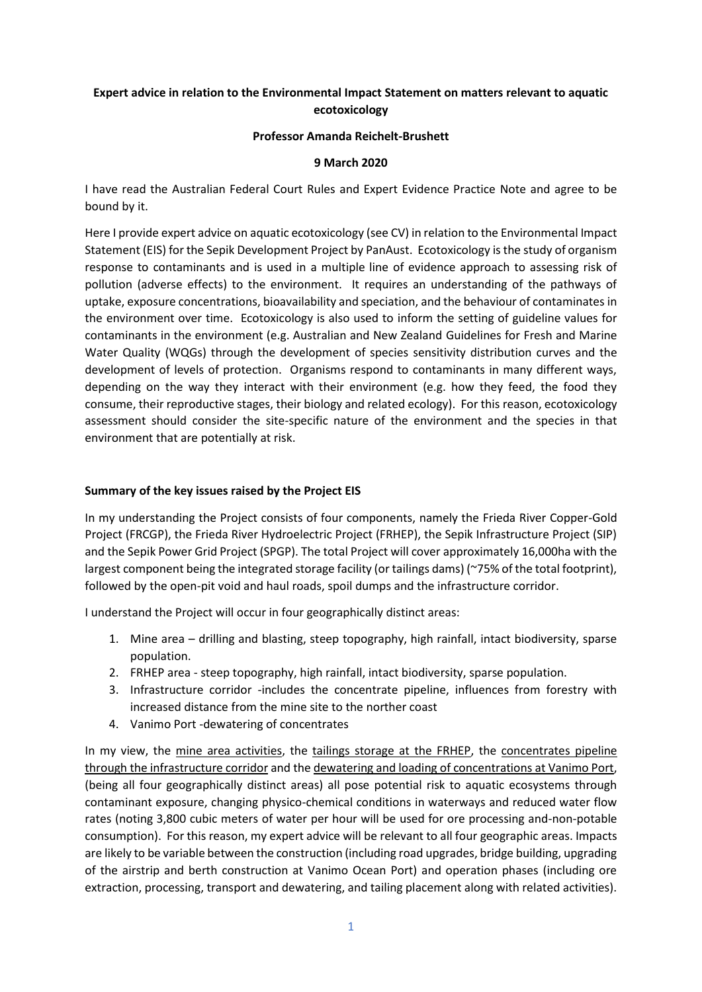# **Expert advice in relation to the Environmental Impact Statement on matters relevant to aquatic ecotoxicology**

### **Professor Amanda Reichelt-Brushett**

### **9 March 2020**

I have read the Australian Federal Court Rules and Expert Evidence Practice Note and agree to be bound by it.

Here I provide expert advice on aquatic ecotoxicology (see CV) in relation to the Environmental Impact Statement (EIS) for the Sepik Development Project by PanAust. Ecotoxicology is the study of organism response to contaminants and is used in a multiple line of evidence approach to assessing risk of pollution (adverse effects) to the environment. It requires an understanding of the pathways of uptake, exposure concentrations, bioavailability and speciation, and the behaviour of contaminates in the environment over time. Ecotoxicology is also used to inform the setting of guideline values for contaminants in the environment (e.g. Australian and New Zealand Guidelines for Fresh and Marine Water Quality (WQGs) through the development of species sensitivity distribution curves and the development of levels of protection. Organisms respond to contaminants in many different ways, depending on the way they interact with their environment (e.g. how they feed, the food they consume, their reproductive stages, their biology and related ecology). For this reason, ecotoxicology assessment should consider the site-specific nature of the environment and the species in that environment that are potentially at risk.

### **Summary of the key issues raised by the Project EIS**

In my understanding the Project consists of four components, namely the Frieda River Copper-Gold Project (FRCGP), the Frieda River Hydroelectric Project (FRHEP), the Sepik Infrastructure Project (SIP) and the Sepik Power Grid Project (SPGP). The total Project will cover approximately 16,000ha with the largest component being the integrated storage facility (or tailings dams) (~75% of the total footprint), followed by the open-pit void and haul roads, spoil dumps and the infrastructure corridor.

I understand the Project will occur in four geographically distinct areas:

- 1. Mine area drilling and blasting, steep topography, high rainfall, intact biodiversity, sparse population.
- 2. FRHEP area steep topography, high rainfall, intact biodiversity, sparse population.
- 3. Infrastructure corridor -includes the concentrate pipeline, influences from forestry with increased distance from the mine site to the norther coast
- 4. Vanimo Port -dewatering of concentrates

In my view, the mine area activities, the tailings storage at the FRHEP, the concentrates pipeline through the infrastructure corridor and the dewatering and loading of concentrations at Vanimo Port, (being all four geographically distinct areas) all pose potential risk to aquatic ecosystems through contaminant exposure, changing physico-chemical conditions in waterways and reduced water flow rates (noting 3,800 cubic meters of water per hour will be used for ore processing and-non-potable consumption). For this reason, my expert advice will be relevant to all four geographic areas. Impacts are likely to be variable between the construction (including road upgrades, bridge building, upgrading of the airstrip and berth construction at Vanimo Ocean Port) and operation phases (including ore extraction, processing, transport and dewatering, and tailing placement along with related activities).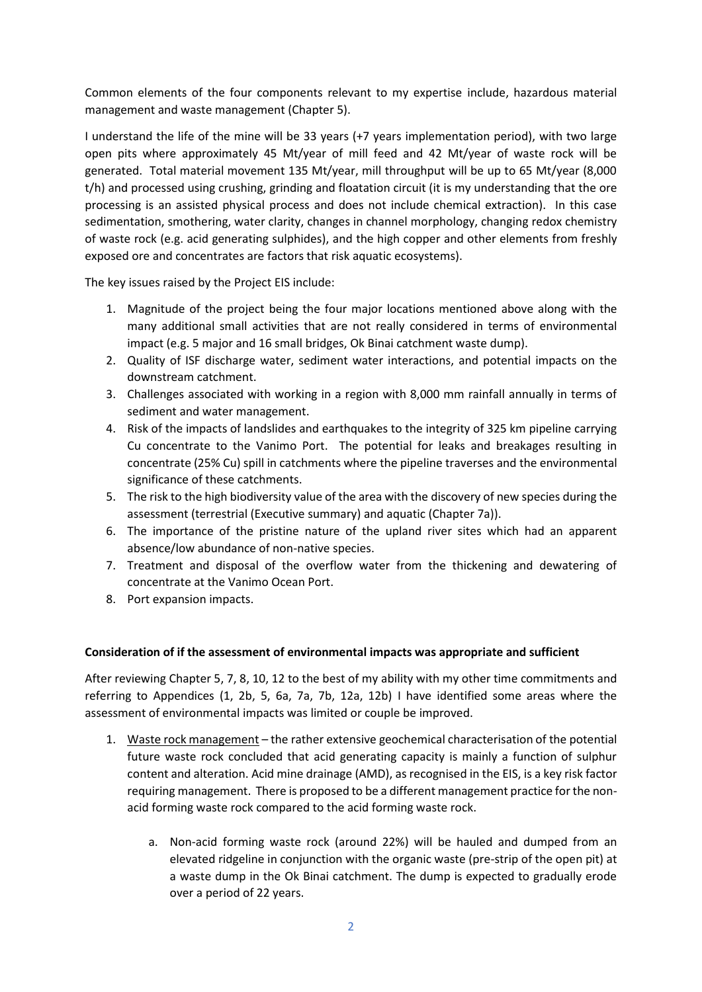Common elements of the four components relevant to my expertise include, hazardous material management and waste management (Chapter 5).

I understand the life of the mine will be 33 years (+7 years implementation period), with two large open pits where approximately 45 Mt/year of mill feed and 42 Mt/year of waste rock will be generated. Total material movement 135 Mt/year, mill throughput will be up to 65 Mt/year (8,000 t/h) and processed using crushing, grinding and floatation circuit (it is my understanding that the ore processing is an assisted physical process and does not include chemical extraction). In this case sedimentation, smothering, water clarity, changes in channel morphology, changing redox chemistry of waste rock (e.g. acid generating sulphides), and the high copper and other elements from freshly exposed ore and concentrates are factors that risk aquatic ecosystems).

The key issues raised by the Project EIS include:

- 1. Magnitude of the project being the four major locations mentioned above along with the many additional small activities that are not really considered in terms of environmental impact (e.g. 5 major and 16 small bridges, Ok Binai catchment waste dump).
- 2. Quality of ISF discharge water, sediment water interactions, and potential impacts on the downstream catchment.
- 3. Challenges associated with working in a region with 8,000 mm rainfall annually in terms of sediment and water management.
- 4. Risk of the impacts of landslides and earthquakes to the integrity of 325 km pipeline carrying Cu concentrate to the Vanimo Port. The potential for leaks and breakages resulting in concentrate (25% Cu) spill in catchments where the pipeline traverses and the environmental significance of these catchments.
- 5. The risk to the high biodiversity value of the area with the discovery of new species during the assessment (terrestrial (Executive summary) and aquatic (Chapter 7a)).
- 6. The importance of the pristine nature of the upland river sites which had an apparent absence/low abundance of non-native species.
- 7. Treatment and disposal of the overflow water from the thickening and dewatering of concentrate at the Vanimo Ocean Port.
- 8. Port expansion impacts.

#### **Consideration of if the assessment of environmental impacts was appropriate and sufficient**

After reviewing Chapter 5, 7, 8, 10, 12 to the best of my ability with my other time commitments and referring to Appendices (1, 2b, 5, 6a, 7a, 7b, 12a, 12b) I have identified some areas where the assessment of environmental impacts was limited or couple be improved.

- 1. Waste rock management the rather extensive geochemical characterisation of the potential future waste rock concluded that acid generating capacity is mainly a function of sulphur content and alteration. Acid mine drainage (AMD), as recognised in the EIS, is a key risk factor requiring management. There is proposed to be a different management practice for the nonacid forming waste rock compared to the acid forming waste rock.
	- a. Non-acid forming waste rock (around 22%) will be hauled and dumped from an elevated ridgeline in conjunction with the organic waste (pre-strip of the open pit) at a waste dump in the Ok Binai catchment. The dump is expected to gradually erode over a period of 22 years.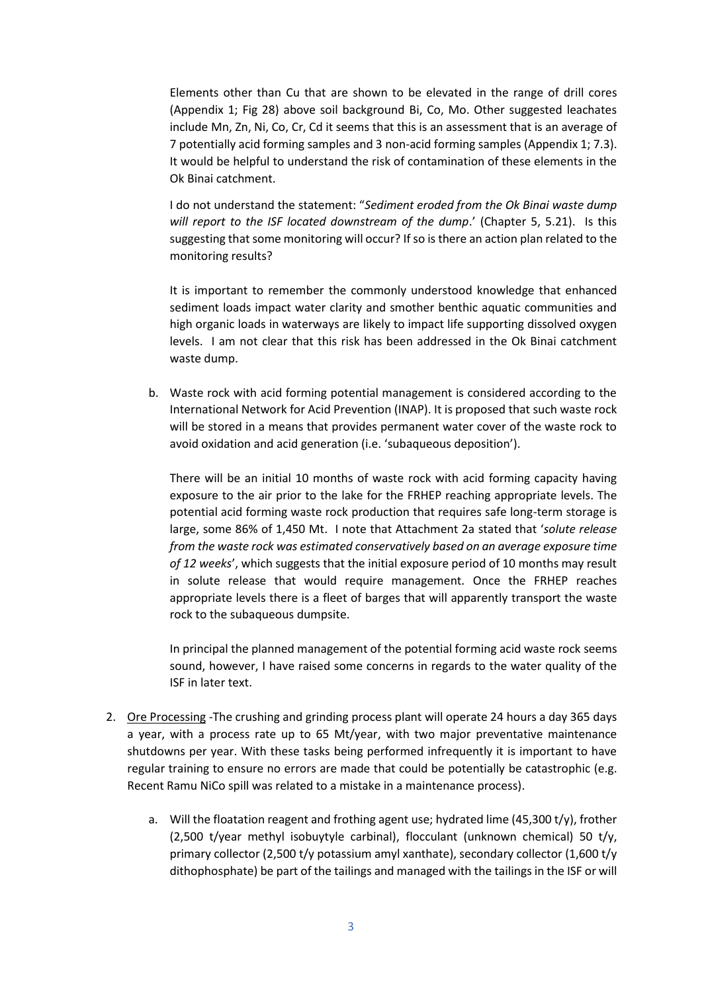Elements other than Cu that are shown to be elevated in the range of drill cores (Appendix 1; Fig 28) above soil background Bi, Co, Mo. Other suggested leachates include Mn, Zn, Ni, Co, Cr, Cd it seems that this is an assessment that is an average of 7 potentially acid forming samples and 3 non-acid forming samples (Appendix 1; 7.3). It would be helpful to understand the risk of contamination of these elements in the Ok Binai catchment.

I do not understand the statement: "*Sediment eroded from the Ok Binai waste dump will report to the ISF located downstream of the dump*.' (Chapter 5, 5.21). Is this suggesting that some monitoring will occur? If so is there an action plan related to the monitoring results?

It is important to remember the commonly understood knowledge that enhanced sediment loads impact water clarity and smother benthic aquatic communities and high organic loads in waterways are likely to impact life supporting dissolved oxygen levels. I am not clear that this risk has been addressed in the Ok Binai catchment waste dump.

b. Waste rock with acid forming potential management is considered according to the International Network for Acid Prevention (INAP). It is proposed that such waste rock will be stored in a means that provides permanent water cover of the waste rock to avoid oxidation and acid generation (i.e. 'subaqueous deposition').

There will be an initial 10 months of waste rock with acid forming capacity having exposure to the air prior to the lake for the FRHEP reaching appropriate levels. The potential acid forming waste rock production that requires safe long-term storage is large, some 86% of 1,450 Mt. I note that Attachment 2a stated that '*solute release from the waste rock was estimated conservatively based on an average exposure time of 12 weeks*', which suggests that the initial exposure period of 10 months may result in solute release that would require management. Once the FRHEP reaches appropriate levels there is a fleet of barges that will apparently transport the waste rock to the subaqueous dumpsite.

In principal the planned management of the potential forming acid waste rock seems sound, however, I have raised some concerns in regards to the water quality of the ISF in later text.

- 2. Ore Processing -The crushing and grinding process plant will operate 24 hours a day 365 days a year, with a process rate up to 65 Mt/year, with two major preventative maintenance shutdowns per year. With these tasks being performed infrequently it is important to have regular training to ensure no errors are made that could be potentially be catastrophic (e.g. Recent Ramu NiCo spill was related to a mistake in a maintenance process).
	- a. Will the floatation reagent and frothing agent use; hydrated lime (45,300 t/y), frother (2,500 t/year methyl isobuytyle carbinal), flocculant (unknown chemical) 50 t/y, primary collector (2,500 t/y potassium amyl xanthate), secondary collector (1,600 t/y dithophosphate) be part of the tailings and managed with the tailings in the ISF or will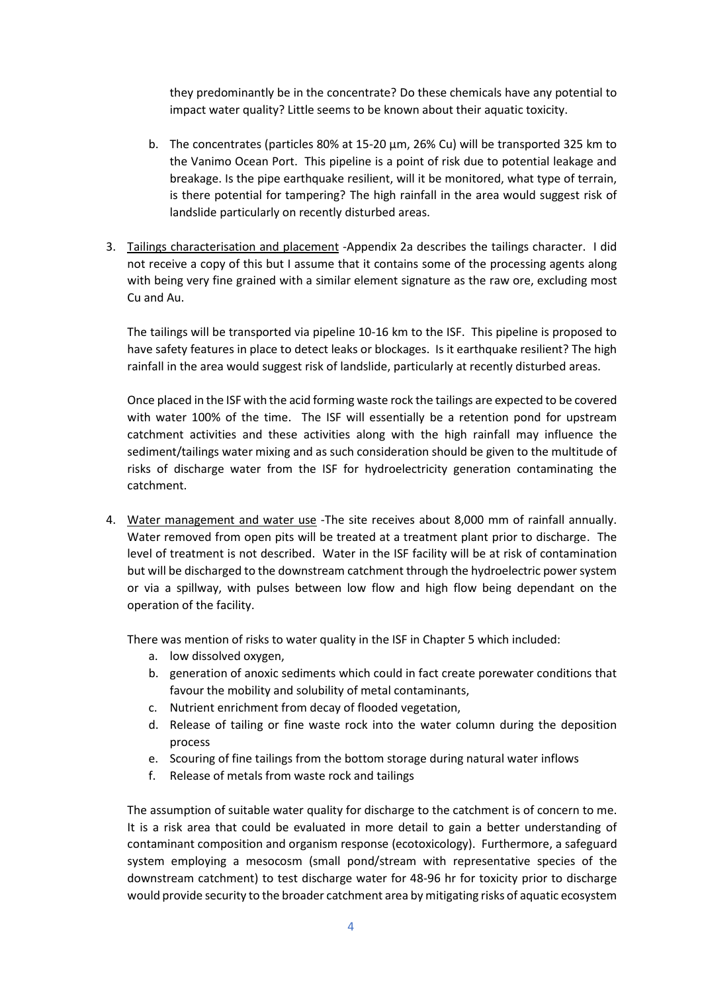they predominantly be in the concentrate? Do these chemicals have any potential to impact water quality? Little seems to be known about their aquatic toxicity.

- b. The concentrates (particles 80% at 15-20 µm, 26% Cu) will be transported 325 km to the Vanimo Ocean Port. This pipeline is a point of risk due to potential leakage and breakage. Is the pipe earthquake resilient, will it be monitored, what type of terrain, is there potential for tampering? The high rainfall in the area would suggest risk of landslide particularly on recently disturbed areas.
- 3. Tailings characterisation and placement -Appendix 2a describes the tailings character. I did not receive a copy of this but I assume that it contains some of the processing agents along with being very fine grained with a similar element signature as the raw ore, excluding most Cu and Au.

The tailings will be transported via pipeline 10-16 km to the ISF. This pipeline is proposed to have safety features in place to detect leaks or blockages. Is it earthquake resilient? The high rainfall in the area would suggest risk of landslide, particularly at recently disturbed areas.

Once placed in the ISF with the acid forming waste rock the tailings are expected to be covered with water 100% of the time. The ISF will essentially be a retention pond for upstream catchment activities and these activities along with the high rainfall may influence the sediment/tailings water mixing and as such consideration should be given to the multitude of risks of discharge water from the ISF for hydroelectricity generation contaminating the catchment.

4. Water management and water use -The site receives about 8,000 mm of rainfall annually. Water removed from open pits will be treated at a treatment plant prior to discharge. The level of treatment is not described. Water in the ISF facility will be at risk of contamination but will be discharged to the downstream catchment through the hydroelectric power system or via a spillway, with pulses between low flow and high flow being dependant on the operation of the facility.

There was mention of risks to water quality in the ISF in Chapter 5 which included:

- a. low dissolved oxygen,
- b. generation of anoxic sediments which could in fact create porewater conditions that favour the mobility and solubility of metal contaminants,
- c. Nutrient enrichment from decay of flooded vegetation,
- d. Release of tailing or fine waste rock into the water column during the deposition process
- e. Scouring of fine tailings from the bottom storage during natural water inflows
- f. Release of metals from waste rock and tailings

The assumption of suitable water quality for discharge to the catchment is of concern to me. It is a risk area that could be evaluated in more detail to gain a better understanding of contaminant composition and organism response (ecotoxicology). Furthermore, a safeguard system employing a mesocosm (small pond/stream with representative species of the downstream catchment) to test discharge water for 48-96 hr for toxicity prior to discharge would provide security to the broader catchment area by mitigating risks of aquatic ecosystem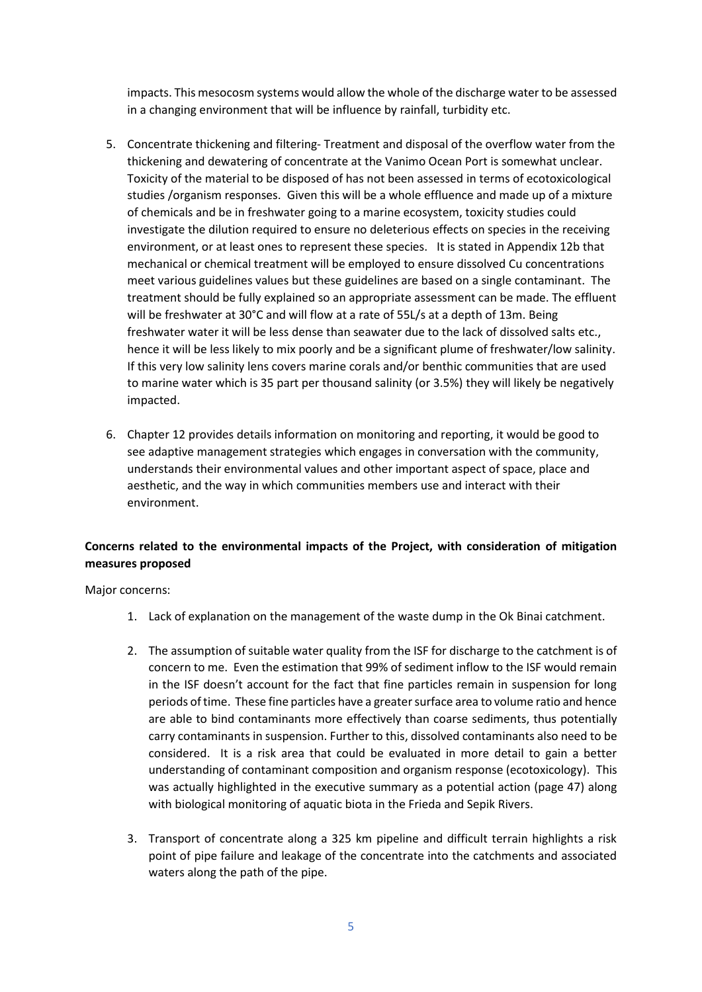impacts. This mesocosm systems would allow the whole of the discharge water to be assessed in a changing environment that will be influence by rainfall, turbidity etc.

- 5. Concentrate thickening and filtering- Treatment and disposal of the overflow water from the thickening and dewatering of concentrate at the Vanimo Ocean Port is somewhat unclear. Toxicity of the material to be disposed of has not been assessed in terms of ecotoxicological studies /organism responses. Given this will be a whole effluence and made up of a mixture of chemicals and be in freshwater going to a marine ecosystem, toxicity studies could investigate the dilution required to ensure no deleterious effects on species in the receiving environment, or at least ones to represent these species. It is stated in Appendix 12b that mechanical or chemical treatment will be employed to ensure dissolved Cu concentrations meet various guidelines values but these guidelines are based on a single contaminant. The treatment should be fully explained so an appropriate assessment can be made. The effluent will be freshwater at 30°C and will flow at a rate of 55L/s at a depth of 13m. Being freshwater water it will be less dense than seawater due to the lack of dissolved salts etc., hence it will be less likely to mix poorly and be a significant plume of freshwater/low salinity. If this very low salinity lens covers marine corals and/or benthic communities that are used to marine water which is 35 part per thousand salinity (or 3.5%) they will likely be negatively impacted.
- 6. Chapter 12 provides details information on monitoring and reporting, it would be good to see adaptive management strategies which engages in conversation with the community, understands their environmental values and other important aspect of space, place and aesthetic, and the way in which communities members use and interact with their environment.

# **Concerns related to the environmental impacts of the Project, with consideration of mitigation measures proposed**

Major concerns:

- 1. Lack of explanation on the management of the waste dump in the Ok Binai catchment.
- 2. The assumption of suitable water quality from the ISF for discharge to the catchment is of concern to me. Even the estimation that 99% of sediment inflow to the ISF would remain in the ISF doesn't account for the fact that fine particles remain in suspension for long periods of time. These fine particles have a greater surface area to volume ratio and hence are able to bind contaminants more effectively than coarse sediments, thus potentially carry contaminants in suspension. Further to this, dissolved contaminants also need to be considered. It is a risk area that could be evaluated in more detail to gain a better understanding of contaminant composition and organism response (ecotoxicology). This was actually highlighted in the executive summary as a potential action (page 47) along with biological monitoring of aquatic biota in the Frieda and Sepik Rivers.
- 3. Transport of concentrate along a 325 km pipeline and difficult terrain highlights a risk point of pipe failure and leakage of the concentrate into the catchments and associated waters along the path of the pipe.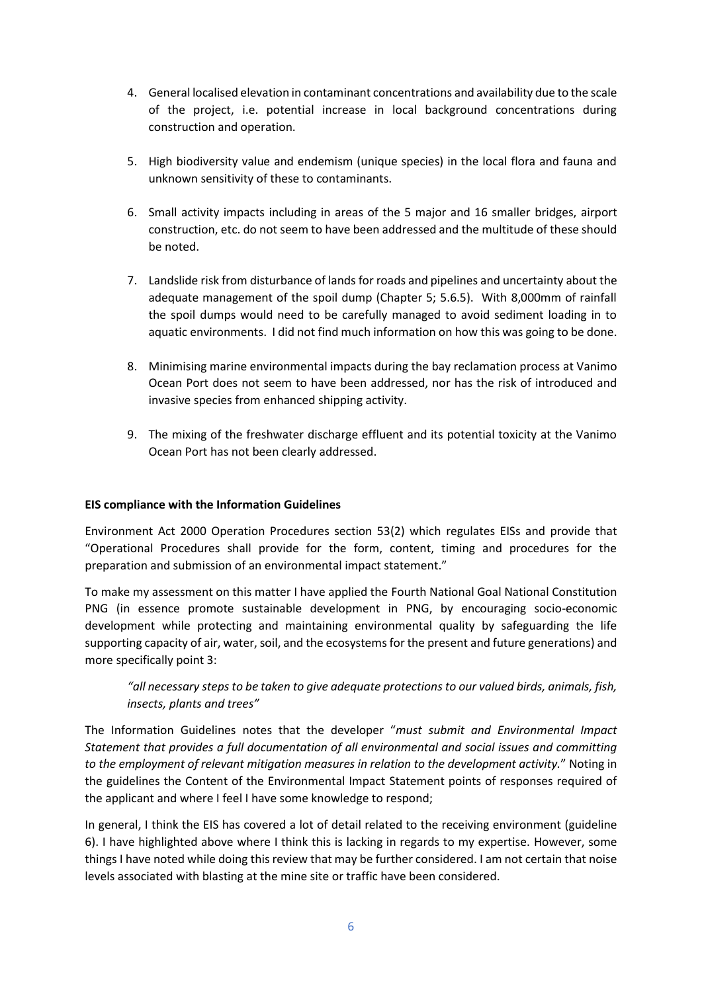- 4. General localised elevation in contaminant concentrations and availability due to the scale of the project, i.e. potential increase in local background concentrations during construction and operation.
- 5. High biodiversity value and endemism (unique species) in the local flora and fauna and unknown sensitivity of these to contaminants.
- 6. Small activity impacts including in areas of the 5 major and 16 smaller bridges, airport construction, etc. do not seem to have been addressed and the multitude of these should be noted.
- 7. Landslide risk from disturbance of lands for roads and pipelines and uncertainty about the adequate management of the spoil dump (Chapter 5; 5.6.5). With 8,000mm of rainfall the spoil dumps would need to be carefully managed to avoid sediment loading in to aquatic environments. I did not find much information on how this was going to be done.
- 8. Minimising marine environmental impacts during the bay reclamation process at Vanimo Ocean Port does not seem to have been addressed, nor has the risk of introduced and invasive species from enhanced shipping activity.
- 9. The mixing of the freshwater discharge effluent and its potential toxicity at the Vanimo Ocean Port has not been clearly addressed.

# **EIS compliance with the Information Guidelines**

Environment Act 2000 Operation Procedures section 53(2) which regulates EISs and provide that "Operational Procedures shall provide for the form, content, timing and procedures for the preparation and submission of an environmental impact statement."

To make my assessment on this matter I have applied the Fourth National Goal National Constitution PNG (in essence promote sustainable development in PNG, by encouraging socio-economic development while protecting and maintaining environmental quality by safeguarding the life supporting capacity of air, water, soil, and the ecosystems for the present and future generations) and more specifically point 3:

# *"all necessary steps to be taken to give adequate protections to our valued birds, animals, fish, insects, plants and trees"*

The Information Guidelines notes that the developer "*must submit and Environmental Impact Statement that provides a full documentation of all environmental and social issues and committing to the employment of relevant mitigation measures in relation to the development activity.*" Noting in the guidelines the Content of the Environmental Impact Statement points of responses required of the applicant and where I feel I have some knowledge to respond;

In general, I think the EIS has covered a lot of detail related to the receiving environment (guideline 6). I have highlighted above where I think this is lacking in regards to my expertise. However, some things I have noted while doing this review that may be further considered. I am not certain that noise levels associated with blasting at the mine site or traffic have been considered.